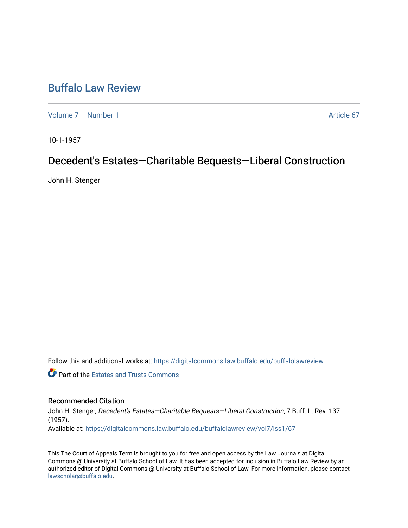# [Buffalo Law Review](https://digitalcommons.law.buffalo.edu/buffalolawreview)

[Volume 7](https://digitalcommons.law.buffalo.edu/buffalolawreview/vol7) | [Number 1](https://digitalcommons.law.buffalo.edu/buffalolawreview/vol7/iss1) Article 67

10-1-1957

# Decedent's Estates—Charitable Bequests—Liberal Construction

John H. Stenger

Follow this and additional works at: [https://digitalcommons.law.buffalo.edu/buffalolawreview](https://digitalcommons.law.buffalo.edu/buffalolawreview?utm_source=digitalcommons.law.buffalo.edu%2Fbuffalolawreview%2Fvol7%2Fiss1%2F67&utm_medium=PDF&utm_campaign=PDFCoverPages) 

**C** Part of the Estates and Trusts Commons

## Recommended Citation

John H. Stenger, Decedent's Estates—Charitable Bequests—Liberal Construction, 7 Buff. L. Rev. 137 (1957). Available at: [https://digitalcommons.law.buffalo.edu/buffalolawreview/vol7/iss1/67](https://digitalcommons.law.buffalo.edu/buffalolawreview/vol7/iss1/67?utm_source=digitalcommons.law.buffalo.edu%2Fbuffalolawreview%2Fvol7%2Fiss1%2F67&utm_medium=PDF&utm_campaign=PDFCoverPages) 

This The Court of Appeals Term is brought to you for free and open access by the Law Journals at Digital Commons @ University at Buffalo School of Law. It has been accepted for inclusion in Buffalo Law Review by an authorized editor of Digital Commons @ University at Buffalo School of Law. For more information, please contact [lawscholar@buffalo.edu](mailto:lawscholar@buffalo.edu).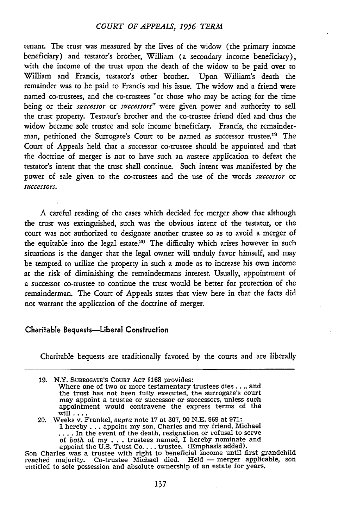#### *COURT OF APPEALS, 1956 TERM*

tenant. The trust was measured by the lives of the widow (the primary income beneficiary) and testator's brother, William (a secondary income beneficiary), with the income of the trust upon the death of the widow to be paid over to William and Francis, testator's other brother. Upon William's death the remainder was to be paid to Francis and his issue. The widow and a friend were named co-trustees, and the co-trustees "or those who may be acting for the time being or their *successor* or *successors"* were given power and authority to sell the trust property. Testator's brother and the co-trustee friend died and thus the widow became sole trustee and sole income beneficiary. Francis, the remainderman, petitioned the Surrogate's Court to be named as successor trustee.<sup>19</sup> The Court of Appeals held that a successor co-trustee should be appointed and that the doctrine of merger is not to have such an austere application to defeat the testator's intent that the trust shall continue. Such intent was manifested by the power of sale given to the co-trustees and the use of the words *successor* or *successors.*

**A** careful reading of the cases which decided for merger show that although the trust was extinguished, such was the obvious intent of the testator, or the court was not authorized to designate another trustee so as to avoid a merger of the equitable into the legal estate.<sup>20</sup> The difficulty which arises however in such situations is the danger that the legal owner will unduly favor himself, and may be tempted to utilize the property in such a mode as to increase his own income at the risk of diminishing the remaindermans interest. Usually, appointment of a successor co-trustee to continue the trust would be better for protection of the remainderman. The Court of Appeals states that view here in that the facts did not warrant the application of the doctrine of merger.

### Charitable Bequests-Liberal Construction

Charitable bequests are traditionally favored by the courts and are liberally

*20.* Weeks v. Frankel, supra note 17 at 307, **90** N.E. 969 at 971: I hereby **..-** appoint my son, Charles and my friend, Michael **....** In the event of the death, resignation or refusal to serve of both of my **. ..**trustees named, I hereby nominate and appoint the U.S. Trust **Co....** trustee. (Emphasis added).

Son Charles was a trustee with right to beneficial income until first grandchild<br>reached majority. Co-trustee Michael died. Held — merger applicable, son<br>entitled to sole possession and absolute ownership of an estate for

**<sup>29.</sup>** N.Y. SURROGATE'S **COURT** AcT §168 provides: Where one of two or more testamentary trustees dies. **..,** and the trust has not been fully executed, the surrogate's court may appoint a trustee or successor or successors, unless such appointment would contravene the express terms of the will **....**